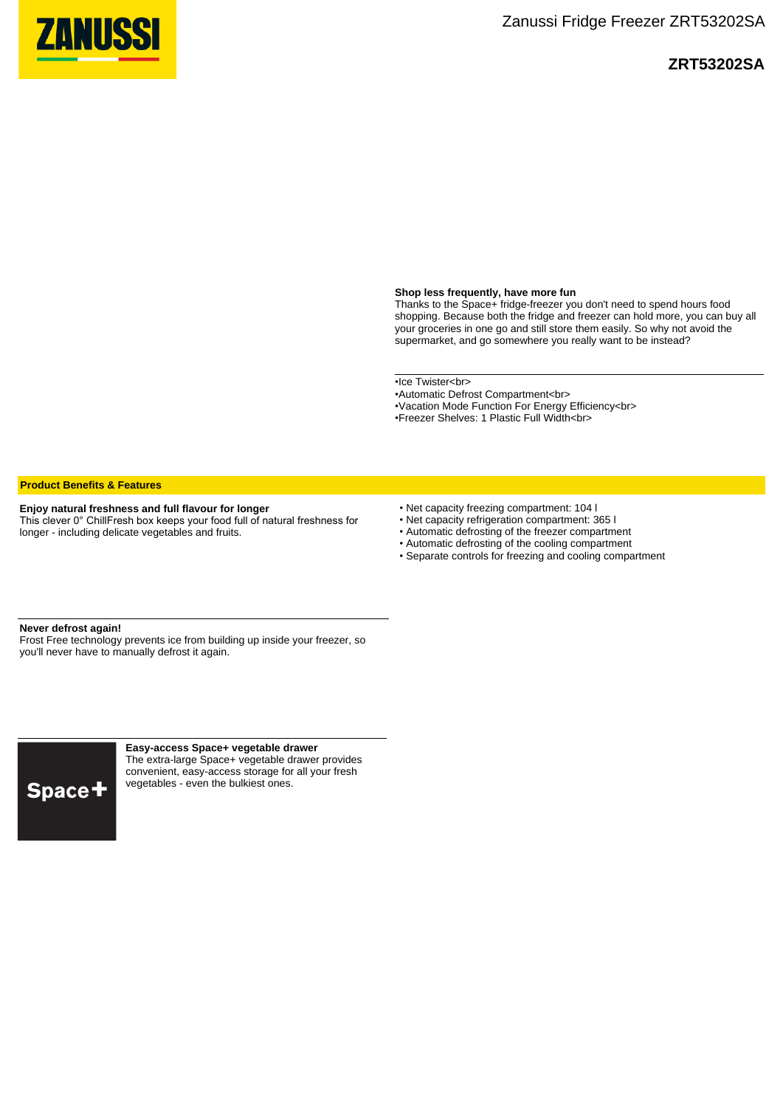

# **ZRT53202SA**

#### **Shop less frequently, have more fun**

Thanks to the Space+ fridge-freezer you don't need to spend hours food shopping. Because both the fridge and freezer can hold more, you can buy all your groceries in one go and still store them easily. So why not avoid the supermarket, and go somewhere you really want to be instead?

•Ice Twister<br>

- •Automatic Defrost Compartment<br>
- •Vacation Mode Function For Energy Efficiency<br>

•Freezer Shelves: 1 Plastic Full Width<br>

### **Product Benefits & Features**

**Enjoy natural freshness and full flavour for longer** This clever 0° ChillFresh box keeps your food full of natural freshness for longer - including delicate vegetables and fruits.

- Net capacity freezing compartment: 104 l
- Net capacity refrigeration compartment: 365 l
- Automatic defrosting of the freezer compartment
- Automatic defrosting of the cooling compartment
- Separate controls for freezing and cooling compartment

#### **Never defrost again!**

Frost Free technology prevents ice from building up inside your freezer, so you'll never have to manually defrost it again.



**Easy-access Space+ vegetable drawer** The extra-large Space+ vegetable drawer provides convenient, easy-access storage for all your fresh vegetables - even the bulkiest ones.